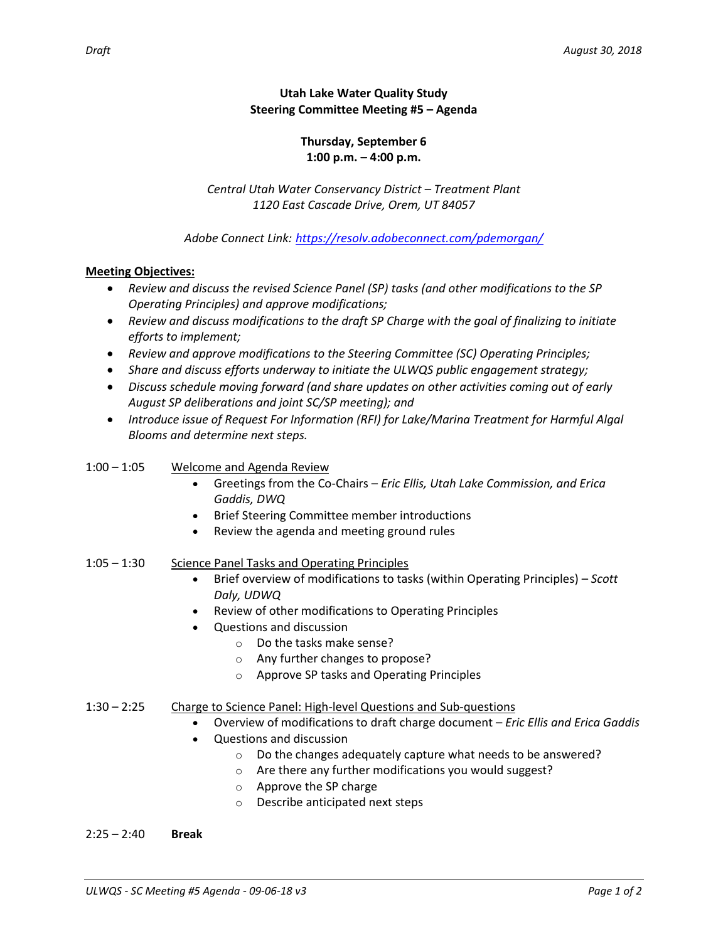# **Utah Lake Water Quality Study Steering Committee Meeting #5 – Agenda**

## **Thursday, September 6 1:00 p.m. – 4:00 p.m.**

*Central Utah Water Conservancy District – Treatment Plant 1120 East Cascade Drive, Orem, UT 84057*

*Adobe Connect Link: <https://resolv.adobeconnect.com/pdemorgan/>*

# **Meeting Objectives:**

- *Review and discuss the revised Science Panel (SP) tasks (and other modifications to the SP Operating Principles) and approve modifications;*
- *Review and discuss modifications to the draft SP Charge with the goal of finalizing to initiate efforts to implement;*
- *Review and approve modifications to the Steering Committee (SC) Operating Principles;*
- *Share and discuss efforts underway to initiate the ULWQS public engagement strategy;*
- *Discuss schedule moving forward (and share updates on other activities coming out of early August SP deliberations and joint SC/SP meeting); and*
- *Introduce issue of Request For Information (RFI) for Lake/Marina Treatment for Harmful Algal Blooms and determine next steps.*

## 1:00 – 1:05 Welcome and Agenda Review

- Greetings from the Co-Chairs *Eric Ellis, Utah Lake Commission, and Erica Gaddis, DWQ*
- Brief Steering Committee member introductions
- Review the agenda and meeting ground rules

### 1:05 – 1:30 Science Panel Tasks and Operating Principles

- Brief overview of modifications to tasks (within Operating Principles) *Scott Daly, UDWQ*
- Review of other modifications to Operating Principles
- Questions and discussion
	- o Do the tasks make sense?
	- o Any further changes to propose?
	- o Approve SP tasks and Operating Principles

### 1:30 – 2:25 Charge to Science Panel: High-level Questions and Sub-questions

- Overview of modifications to draft charge document *Eric Ellis and Erica Gaddis*
- Questions and discussion
	- $\circ$  Do the changes adequately capture what needs to be answered?
	- o Are there any further modifications you would suggest?
	- o Approve the SP charge
	- o Describe anticipated next steps

#### 2:25 – 2:40 **Break**